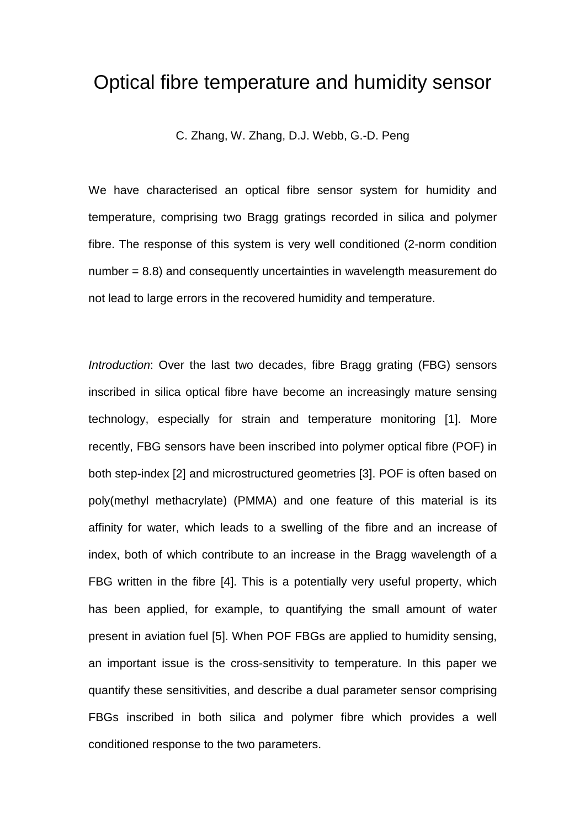# Optical fibre temperature and humidity sensor

C. Zhang, W. Zhang, D.J. Webb, G.-D. Peng

We have characterised an optical fibre sensor system for humidity and temperature, comprising two Bragg gratings recorded in silica and polymer fibre. The response of this system is very well conditioned (2-norm condition number = 8.8) and consequently uncertainties in wavelength measurement do not lead to large errors in the recovered humidity and temperature.

Introduction: Over the last two decades, fibre Bragg grating (FBG) sensors inscribed in silica optical fibre have become an increasingly mature sensing technology, especially for strain and temperature monitoring [1]. More recently, FBG sensors have been inscribed into polymer optical fibre (POF) in both step-index [2] and microstructured geometries [3]. POF is often based on poly(methyl methacrylate) (PMMA) and one feature of this material is its affinity for water, which leads to a swelling of the fibre and an increase of index, both of which contribute to an increase in the Bragg wavelength of a FBG written in the fibre [4]. This is a potentially very useful property, which has been applied, for example, to quantifying the small amount of water present in aviation fuel [5]. When POF FBGs are applied to humidity sensing, an important issue is the cross-sensitivity to temperature. In this paper we quantify these sensitivities, and describe a dual parameter sensor comprising FBGs inscribed in both silica and polymer fibre which provides a well conditioned response to the two parameters.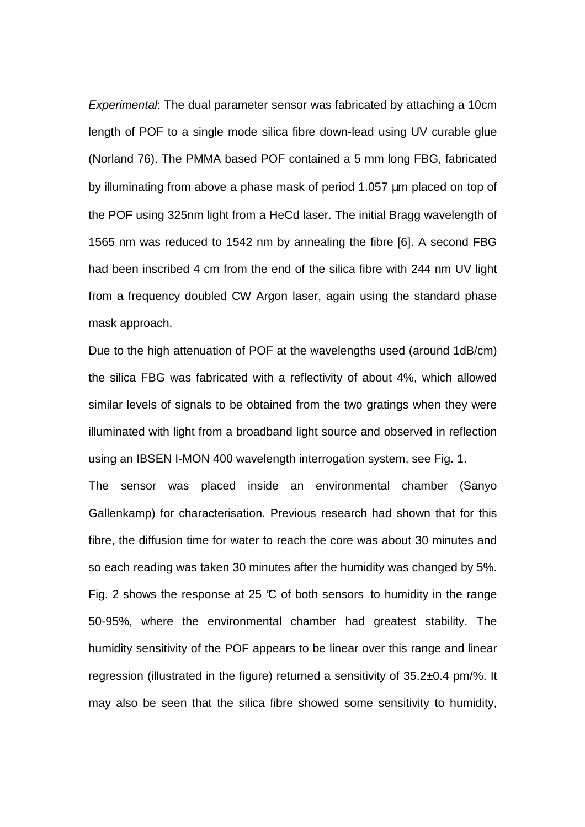Experimental: The dual parameter sensor was fabricated by attaching a 10cm length of POF to a single mode silica fibre down-lead using UV curable glue (Norland 76). The PMMA based POF contained a 5 mm long FBG, fabricated by illuminating from above a phase mask of period 1.057 µm placed on top of the POF using 325nm light from a HeCd laser. The initial Bragg wavelength of 1565 nm was reduced to 1542 nm by annealing the fibre [6]. A second FBG had been inscribed 4 cm from the end of the silica fibre with 244 nm UV light from a frequency doubled CW Argon laser, again using the standard phase mask approach.

Due to the high attenuation of POF at the wavelengths used (around 1dB/cm) the silica FBG was fabricated with a reflectivity of about 4%, which allowed similar levels of signals to be obtained from the two gratings when they were illuminated with light from a broadband light source and observed in reflection using an IBSEN I-MON 400 wavelength interrogation system, see Fig. 1.

The sensor was placed inside an environmental chamber (Sanyo Gallenkamp) for characterisation. Previous research had shown that for this fibre, the diffusion time for water to reach the core was about 30 minutes and so each reading was taken 30 minutes after the humidity was changed by 5%. Fig. 2 shows the response at 25  $\mathbb C$  of both sensors to humidity in the range 50-95%, where the environmental chamber had greatest stability. The humidity sensitivity of the POF appears to be linear over this range and linear regression (illustrated in the figure) returned a sensitivity of 35.2±0.4 pm/%. It may also be seen that the silica fibre showed some sensitivity to humidity,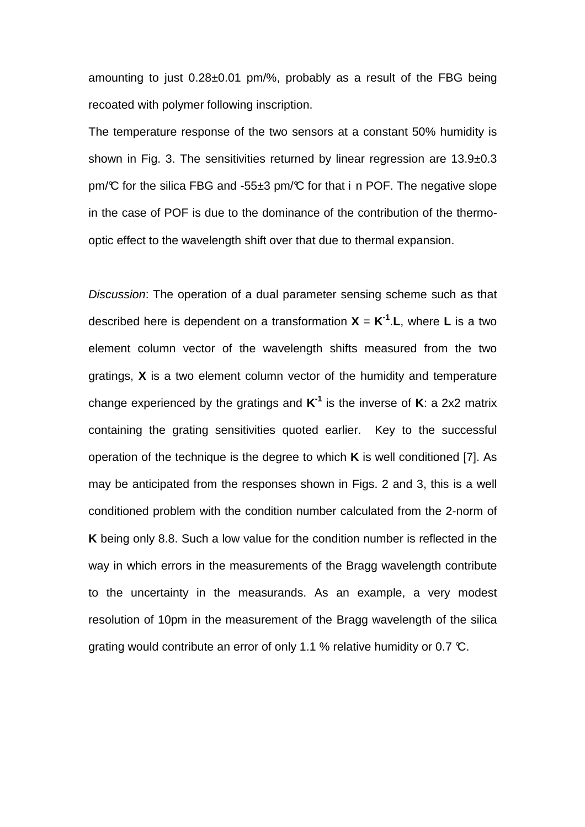amounting to just 0.28±0.01 pm/%, probably as a result of the FBG being recoated with polymer following inscription.

The temperature response of the two sensors at a constant 50% humidity is shown in Fig. 3. The sensitivities returned by linear regression are 13.9±0.3 pm/ $\mathbb C$  for the silica FBG and -55 $\pm 3$  pm/ $\mathbb C$  for that i n POF. The negative slope in the case of POF is due to the dominance of the contribution of the thermooptic effect to the wavelength shift over that due to thermal expansion.

Discussion: The operation of a dual parameter sensing scheme such as that described here is dependent on a transformation **X** = **K -1** .**L**, where **L** is a two element column vector of the wavelength shifts measured from the two gratings, **X** is a two element column vector of the humidity and temperature change experienced by the gratings and **K -1** is the inverse of **K**: a 2x2 matrix containing the grating sensitivities quoted earlier. Key to the successful operation of the technique is the degree to which **K** is well conditioned [7]. As may be anticipated from the responses shown in Figs. 2 and 3, this is a well conditioned problem with the condition number calculated from the 2-norm of **K** being only 8.8. Such a low value for the condition number is reflected in the way in which errors in the measurements of the Bragg wavelength contribute to the uncertainty in the measurands. As an example, a very modest resolution of 10pm in the measurement of the Bragg wavelength of the silica grating would contribute an error of only 1.1 % relative humidity or 0.7  $\mathbb{C}$ .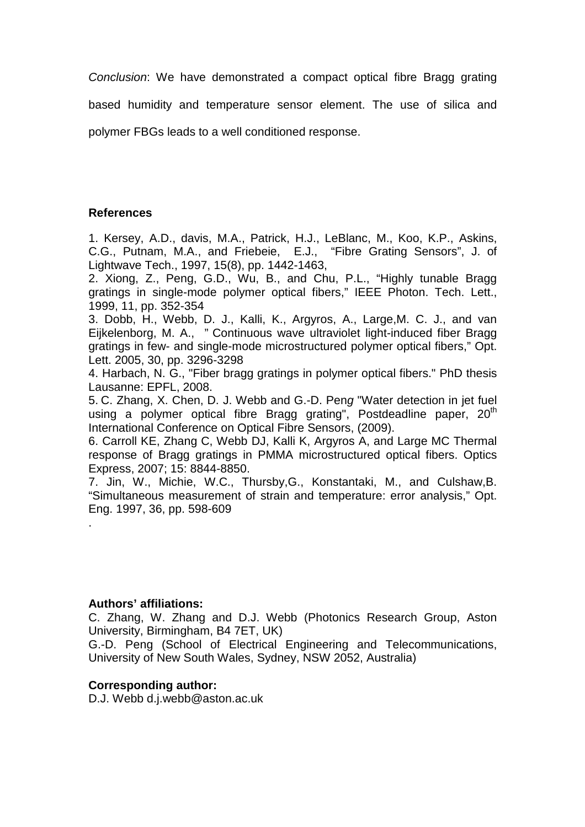Conclusion: We have demonstrated a compact optical fibre Bragg grating

based humidity and temperature sensor element. The use of silica and

polymer FBGs leads to a well conditioned response.

## **References**

1. Kersey, A.D., davis, M.A., Patrick, H.J., LeBlanc, M., Koo, K.P., Askins, C.G., Putnam, M.A., and Friebeie, E.J., "Fibre Grating Sensors", J. of Lightwave Tech., 1997, 15(8), pp. 1442-1463,

2. Xiong, Z., Peng, G.D., Wu, B., and Chu, P.L., "Highly tunable Bragg gratings in single-mode polymer optical fibers," IEEE Photon. Tech. Lett., 1999, 11, pp. 352-354

3. Dobb, H., Webb, D. J., Kalli, K., Argyros, A., Large,M. C. J., and van Eijkelenborg, M. A., " Continuous wave ultraviolet light-induced fiber Bragg gratings in few- and single-mode microstructured polymer optical fibers," Opt. Lett. 2005, 30, pp. 3296-3298

4. Harbach, N. G., "Fiber bragg gratings in polymer optical fibers." PhD thesis Lausanne: EPFL, 2008.

5. C. Zhang, X. Chen, D. J. Webb and G.-D. Peng "Water detection in jet fuel using a polymer optical fibre Bragg grating", Postdeadline paper, 20<sup>th</sup> International Conference on Optical Fibre Sensors, (2009).

6. Carroll KE, Zhang C, Webb DJ, Kalli K, Argyros A, and Large MC Thermal response of Bragg gratings in PMMA microstructured optical fibers. Optics Express, 2007; 15: 8844-8850.

7. Jin, W., Michie, W.C., Thursby,G., Konstantaki, M., and Culshaw,B. "Simultaneous measurement of strain and temperature: error analysis," Opt. Eng. 1997, 36, pp. 598-609

#### **Authors' affiliations:**

.

C. Zhang, W. Zhang and D.J. Webb (Photonics Research Group, Aston University, Birmingham, B4 7ET, UK)

G.-D. Peng (School of Electrical Engineering and Telecommunications, University of New South Wales, Sydney, NSW 2052, Australia)

## **Corresponding author:**

D.J. Webb d.j.webb@aston.ac.uk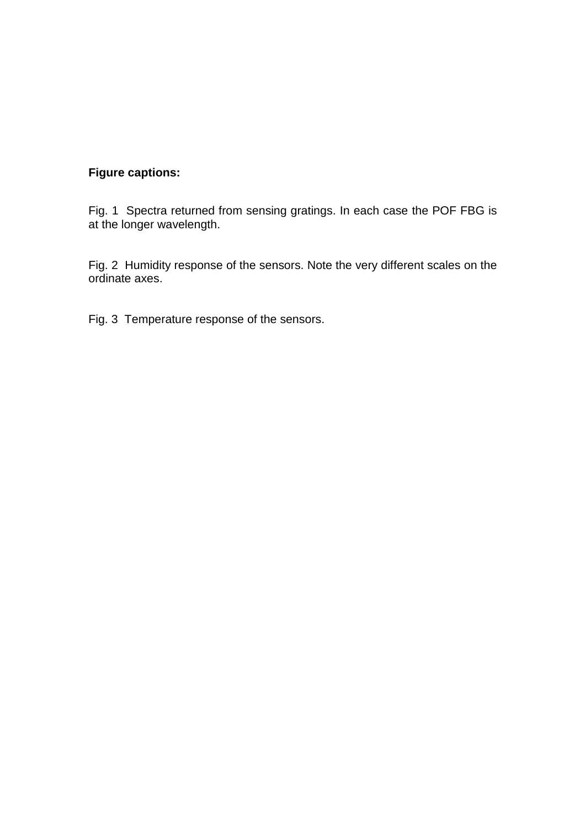# **Figure captions:**

Fig. 1 Spectra returned from sensing gratings. In each case the POF FBG is at the longer wavelength.

Fig. 2 Humidity response of the sensors. Note the very different scales on the ordinate axes.

Fig. 3 Temperature response of the sensors.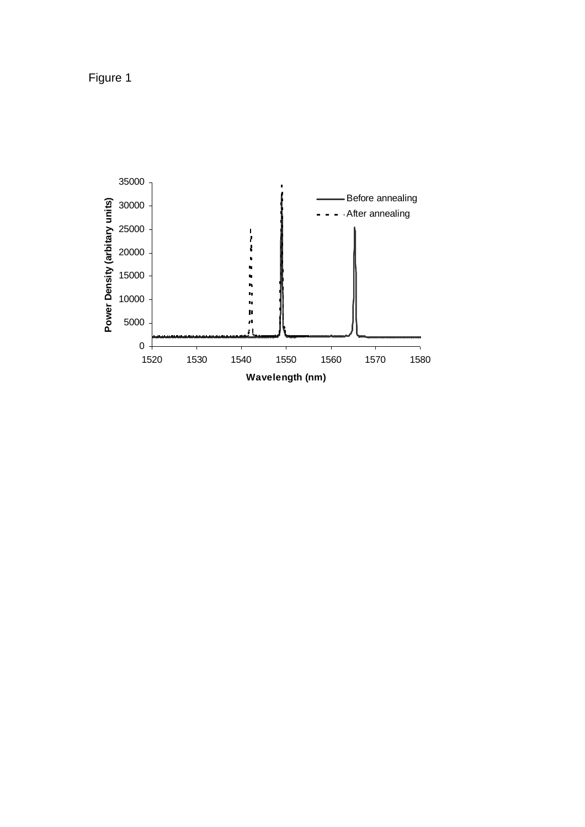Figure 1

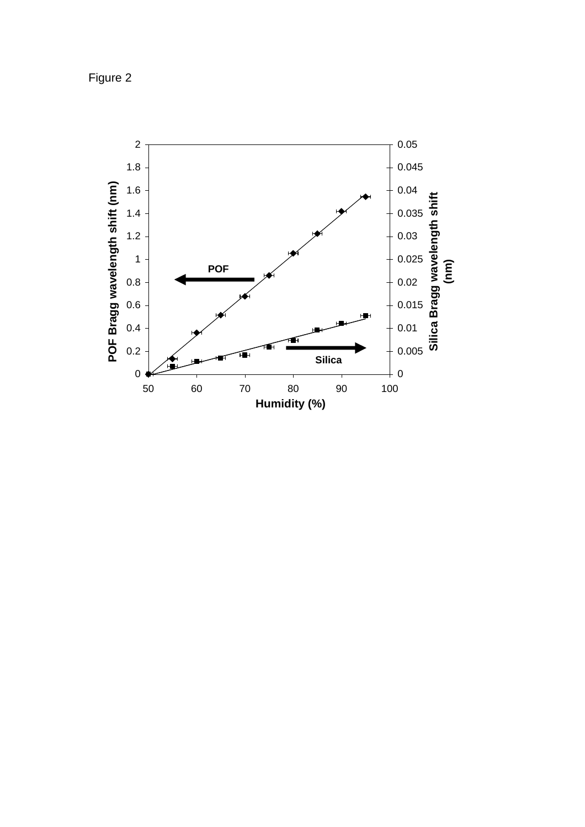Figure 2